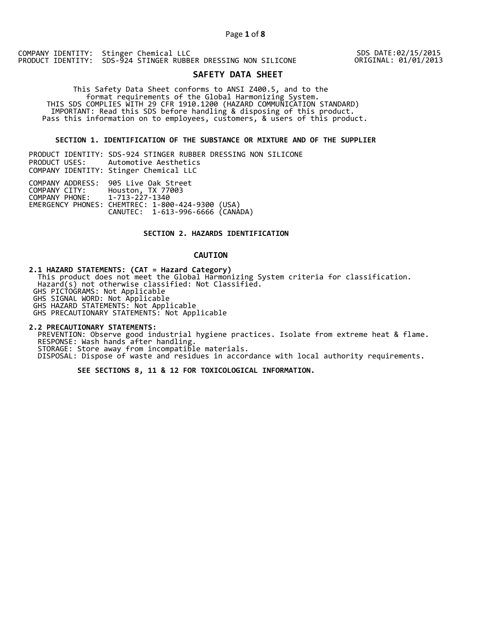SDS DATE:02/15/2015 ORIGINAL: 01/01/2013

# **SAFETY DATA SHEET**

 This Safety Data Sheet conforms to ANSI Z400.5, and to the format requirements of the Global Harmonizing System. THIS SDS COMPLIES WITH 29 CFR 1910.1200 (HAZARD COMMUNICATION STANDARD) IMPORTANT: Read this SDS before handling & disposing of this product. Pass this information on to employees, customers, & users of this product.

## **SECTION 1. IDENTIFICATION OF THE SUBSTANCE OR MIXTURE AND OF THE SUPPLIER**

| PRODUCT IDENTITY: SDS-924 STINGER RUBBER DRESSING NON SILICONE                                                                                                                                   |
|--------------------------------------------------------------------------------------------------------------------------------------------------------------------------------------------------|
| PRODUCT USES: Automotive Aesthetics                                                                                                                                                              |
| COMPANY IDENTITY: Stinger Chemical LLC                                                                                                                                                           |
| COMPANY ADDRESS: 905 Live Oak Street<br>COMPANY CITY: Houston, TX 77003<br>COMPANY PHONE: 1-713-227-1340<br>EMERGENCY PHONES: CHEMTREC: 1-800-424-9300 (USA)<br>CANUTEC: 1-613-996-6666 (CANÁDA) |

### **SECTION 2. HAZARDS IDENTIFICATION**

## **CAUTION**

**2.1 HAZARD STATEMENTS: (CAT = Hazard Category)**

 This product does not meet the Global Harmonizing System criteria for classification. Hazard(s) not otherwise classified: Not Classified. GHS PICTOGRAMS: Not Applicable

GHS SIGNAL WORD: Not Applicable

GHS HAZARD STATEMENTS: Not Applicable

GHS PRECAUTIONARY STATEMENTS: Not Applicable

**2.2 PRECAUTIONARY STATEMENTS:**  PREVENTION: Observe good industrial hygiene practices. Isolate from extreme heat & flame. RESPONSE: Wash hands after handling. STORAGE: Store away from incompatible materials. DISPOSAL: Dispose of waste and residues in accordance with local authority requirements.

 **SEE SECTIONS 8, 11 & 12 FOR TOXICOLOGICAL INFORMATION.**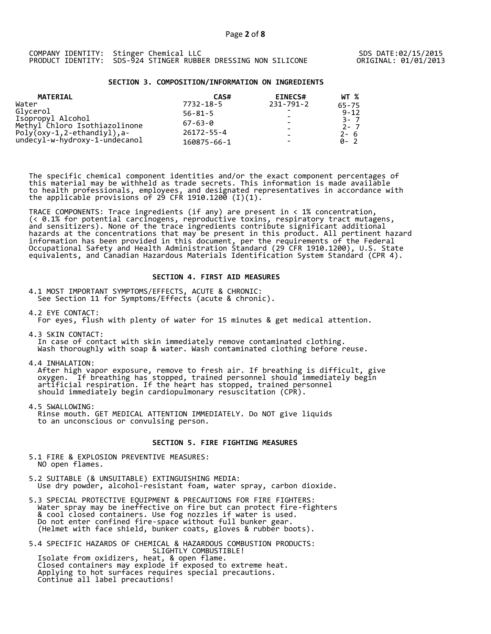### **SECTION 3. COMPOSITION/INFORMATION ON INGREDIENTS**

| <b>MATERIAL</b>                                    | CAS#             | <b>EINECS#</b>           | WT %               |  |
|----------------------------------------------------|------------------|--------------------------|--------------------|--|
| Water                                              | 7732-18-5        | 231-791-2                | 65-75              |  |
| Glycerol                                           | $56 - 81 - 5$    | $\overline{\phantom{a}}$ | $9 - 12$           |  |
| Isopropyl Alcohol<br>Methyl Chloro Isothiazolinone | $67 - 63 - 0$    |                          | $3 - 7$<br>$2 - 7$ |  |
| Poly $($ oxy-1,2-ethandiyl),a-                     | $26172 - 55 - 4$ |                          | $2 - 6$            |  |
| undecyl-w-hydroxy-1-undecanol                      | 160875-66-1      |                          | Q- 2               |  |

The specific chemical component identities and/or the exact component percentages of this material may be withheld as trade secrets. This information is made available to health professionals, employees, and designated representatives in accordance with the applicable provisions of 29 CFR 1910.1200̄ (I)(1).  $\overline{\phantom{a}}$ 

TRACE COMPONENTS: Trace ingredients (if any) are present in < 1% concentration, (< 0.1% for potential carcinogens, reproductive toxins, respiratory tract mutagens, and sensitizers). None of the trace ingredients contribute significant additional hazards at the concentrations that may be present in this product. All pertinent hazard information has been provided in this document, per the requirements of the Federal Occupational Safety and Health Administration Standard (29 CFR 1910.1200), U.S. State equivalents, and Canadian Hazardous Materials Identification System Standard (CPR 4).

#### **SECTION 4. FIRST AID MEASURES**

4.1 MOST IMPORTANT SYMPTOMS/EFFECTS, ACUTE & CHRONIC: See Section 11 for Symptoms/Effects (acute & chronic).

4.2 EYE CONTACT:

For eyes, flush with plenty of water for 15 minutes & get medical attention.

4.3 SKIN CONTACT: In case of contact with skin immediately remove contaminated clothing. Wash thoroughly with soap & water. Wash contaminated clothing before reuse.

4.4 INHALATION:

 After high vapor exposure, remove to fresh air. If breathing is difficult, give oxygen. If breathing has stopped, trained personnel should immediately begin artificial respiration. If the heart has stopped, trained personnel should immediately begin cardiopulmonary resuscitation (CPR).

4.5 SWALLOWING: Rinse mouth. GET MEDICAL ATTENTION IMMEDIATELY. Do NOT give liquids to an unconscious or convulsing person.

## **SECTION 5. FIRE FIGHTING MEASURES**

5.1 FIRE & EXPLOSION PREVENTIVE MEASURES: NO open flames.

- 5.2 SUITABLE (& UNSUITABLE) EXTINGUISHING MEDIA: Use dry powder, alcohol-resistant foam, water spray, carbon dioxide.
- 5.3 SPECIAL PROTECTIVE EQUIPMENT & PRECAUTIONS FOR FIRE FIGHTERS: Water spray may be ineffective on fire but can protect fire-fighters & cool closed containers. Use fog nozzles if water is used. Do not enter confined fire-space without full bunker gear. (Helmet with face shield, bunker coats, gloves & rubber boots).

5.4 SPECIFIC HAZARDS OF CHEMICAL & HAZARDOUS COMBUSTION PRODUCTS: SLIGHTLY COMBUSTIBLE! Isolate from oxidizers, heat, & open flame. Closed containers may explode if exposed to extreme heat. Applying to hot surfaces requires special precautions. Continue all label precautions!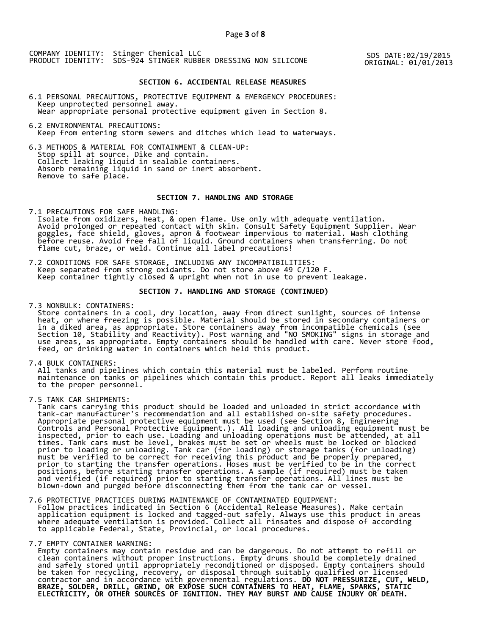SDS DATE:02/19/2015 ORIGINAL: 01/01/2013

## **SECTION 6. ACCIDENTAL RELEASE MEASURES**

6.1 PERSONAL PRECAUTIONS, PROTECTIVE EQUIPMENT & EMERGENCY PROCEDURES: Keep unprotected personnel away. Wear appropriate personal protective equipment given in Section 8.

6.2 ENVIRONMENTAL PRECAUTIONS: Keep from entering storm sewers and ditches which lead to waterways.

6.3 METHODS & MATERIAL FOR CONTAINMENT & CLEAN-UP: Stop spill at source. Dike and contain. Collect leaking liquid in sealable containers. Absorb remaining liquid in sand or inert absorbent. Remove to safe place.

## **SECTION 7. HANDLING AND STORAGE**

7.1 PRECAUTIONS FOR SAFE HANDLING: Isolate from oxidizers, heat, & open flame. Use only with adequate ventilation. Avoid prolonged or repeated contact with skin. Consult Safety Equipment Supplier. Wear goggles, face shield, gloves, apron & footwear impervious to material. Wash clothing before reuse. Avoid free fall of liquid. Ground containers when transferring. Do not flame cut, braze, or weld. Continue all label precautions!

7.2 CONDITIONS FOR SAFE STORAGE, INCLUDING ANY INCOMPATIBILITIES: Keep separated from strong oxidants. Do not store above 49 C/120 F. Keep container tightly closed & upright when not in use to prevent leakage.

## **SECTION 7. HANDLING AND STORAGE (CONTINUED)**

7.3 NONBULK: CONTAINERS:

 Store containers in a cool, dry location, away from direct sunlight, sources of intense heat, or where freezing is possible. Material should be stored in secondary containers or in a diked area, as appropriate. Store containers away from incompatible chemicals (see Section 10, Stability and Reactivity). Post warning and "NO SMOKING" signs in storage and use areas, as appropriate. Empty containers should be handled with care. Never store food, feed, or drinking water in containers which held this product.

7.4 BULK CONTAINERS:

 All tanks and pipelines which contain this material must be labeled. Perform routine maintenance on tanks or pipelines which contain this product. Report all leaks immediately to the proper personnel.

7.5 TANK CAR SHIPMENTS:

 Tank cars carrying this product should be loaded and unloaded in strict accordance with tank-car manufacturer's recommendation and all established on-site safety procedures. Appropriate personal protective equipment must be used (see Section 8, Engineering Controls and Personal Protective Equipment.). All loading and unloading equipment must be inspected, prior to each use. Loading and unloading operations must be attended, at all times. Tank cars must be level, brakes must be set or wheels must be locked or blocked prior to loading or unloading. Tank car (for loading) or storage tanks (for unloading) must be verified to be correct for receiving this product and be properly prepared, prior to starting the transfer operations. Hoses must be verified to be in the correct positions, before starting transfer operations. A sample (if required) must be taken and verified (if required) prior to starting transfer operations. All lines must be blown-down and purged before disconnecting them from the tank car or vessel.

7.6 PROTECTIVE PRACTICES DURING MAINTENANCE OF CONTAMINATED EQUIPMENT:

 Follow practices indicated in Section 6 (Accidental Release Measures). Make certain application equipment is locked and tagged-out safely. Always use this product in areas where adequate ventilation is provided. Collect all rinsates and dispose of according to applicable Federal, State, Provincial, or local procedures.

7.7 EMPTY CONTAINER WARNING:

 Empty containers may contain residue and can be dangerous. Do not attempt to refill or clean containers without proper instructions. Empty drums should be completely drained and safely stored until appropriately reconditioned or disposed. Empty containers should be taken for recycling, recovery, or disposal through suitably qualified or licensed contractor and in accordance with governmental regulations. **DO NOT PRESSURIZE, CUT, WELD, BRAZE, SOLDER, DRILL, GRIND, OR EXPOSE SUCH CONTAINERS TO HEAT, FLAME, SPARKS, STATIC ELECTRICITY, OR OTHER SOURCES OF IGNITION. THEY MAY BURST AND CAUSE INJURY OR DEATH.**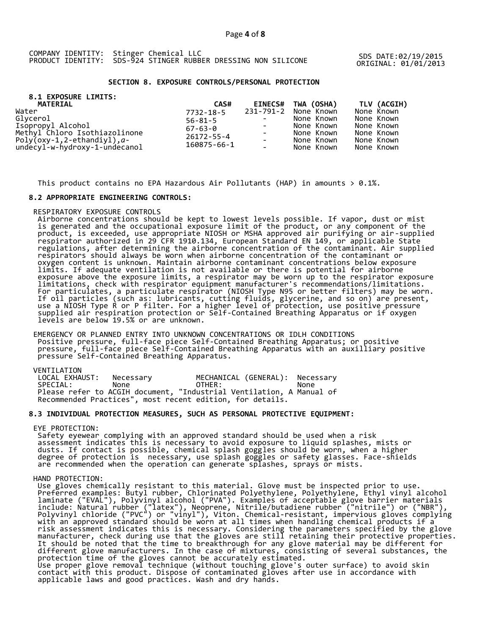ORIGINAL: 01/01/2013

## **SECTION 8. EXPOSURE CONTROLS/PERSONAL PROTECTION**

| 8.1 EXPOSURE LIMITS:<br>MATERIAL  | CAS#                                                              | <b>EINECS#</b> | TWA (OSHA) | TLV (ACGIH) |
|-----------------------------------|-------------------------------------------------------------------|----------------|------------|-------------|
| Water                             | 7732-18-5                                                         | 231-791-2      | None Known | None Known  |
| Glvcerol                          | $56 - 81 - 5$<br>$67 - 63 - 0$<br>$26172 - 55 - 4$<br>160875-66-1 |                | None Known | None Known  |
| Isopropyl Alcohol                 |                                                                   |                | None Known | None Known  |
| Methyl Chloro Isothiazolinone     |                                                                   |                | None Known | None Known  |
| $Poly($ oxy-1,2-ethandiyl), $a$ - |                                                                   |                | None Known | None Known  |
| undecyl-w-hydroxy-1-undecanol     |                                                                   | $\overline{a}$ | None Known | None Known  |

This product contains no EPA Hazardous Air Pollutants (HAP) in amounts  $> 0.1\%$ .

## **8.2 APPROPRIATE ENGINEERING CONTROLS:**

RESPIRATORY EXPOSURE CONTROLS

 Airborne concentrations should be kept to lowest levels possible. If vapor, dust or mist is generated and the occupational exposure limit of the product, or any component of the product, is exceeded, use appropriate NIOSH or MSHA approved air purifying or air-supplied respirator authorized in 29 CFR 1910.134, European Standard EN 149, or applicable State regulations, after determining the airborne concentration of the contaminant. Air supplied respirators should always be worn when airborne concentration of the contaminant or oxygen content is unknown. Maintain airborne contaminant concentrations below exposure limits. If adequate ventilation is not available or there is potential for airborne exposure above the exposure limits, a respirator may be worn up to the respirator exposure limitations, check with respirator equipment manufacturer's recommendations/limitations. For particulates, a particulate respirator (NIOSH Type N95 or better filters) may be worn. If oil particles (such as: lubricants, cutting fluids, glycerine, and so on) are present, use a NIOSH Type R or P filter. For a higher level of protection, use positive pressure supplied air respiration protection or Self-Contained Breathing Apparatus or if oxygen levels are below 19.5% or are unknown.

 EMERGENCY OR PLANNED ENTRY INTO UNKNOWN CONCENTRATIONS OR IDLH CONDITIONS Positive pressure, full-face piece Self-Contained Breathing Apparatus; or positive pressure, full-face piece Self-Contained Breathing Apparatus with an auxilliary positive pressure Self-Contained Breathing Apparatus.

VENTILATION<br>LOCAL EXHAUST: Necessary LOCAL EXHAUST: Necessary MECHANICAL (GENERAL): Necessary SPECIAL: None OTHER: None Please refer to ACGIH document, "Industrial Ventilation, A Manual of Recommended Practices", most recent edition, for details.

## **8.3 INDIVIDUAL PROTECTION MEASURES, SUCH AS PERSONAL PROTECTIVE EQUIPMENT:**

EYE PROTECTION:

 Safety eyewear complying with an approved standard should be used when a risk assessment indicates this is necessary to avoid exposure to liquid splashes, mists or dusts. If contact is possible, chemical splash goggles should be worn, when a higher degree of protection is necessary, use splash goggles or safety glasses. Face-shields are recommended when the operation can generate splashes, sprays or mists.

## HAND PROTECTION:

 Use gloves chemically resistant to this material. Glove must be inspected prior to use. Preferred examples: Butyl rubber, Chlorinated Polyethylene, Polyethylene, Ethyl vinyl alcohol laminate ("EVAL"), Polyvinyl alcohol ("PVA"). Examples of acceptable glove barrier materials include: Natural rubber ("latex"), Neoprene, Nitrile/butadiene rubber ("nitrile") or ("NBR"), Polyvinyl chloride ("PVC") or "vinyl"), Viton. Chemical-resistant, impervious gloves complying with an approved standard should be worn at all times when handling chemical products if a risk assessment indicates this is necessary. Considering the parameters specified by the glove manufacturer, check during use that the gloves are still retaining their protective properties. It should be noted that the time to breakthrough for any glove material may be different for different glove manufacturers. In the case of mixtures, consisting of several substances, the protection time of the gloves cannot be accurately estimated. Use proper glove removal technique (without touching glove's outer surface) to avoid skin contact with this product. Dispose of contaminated gloves after use in accordance with applicable laws and good practices. Wash and dry hands.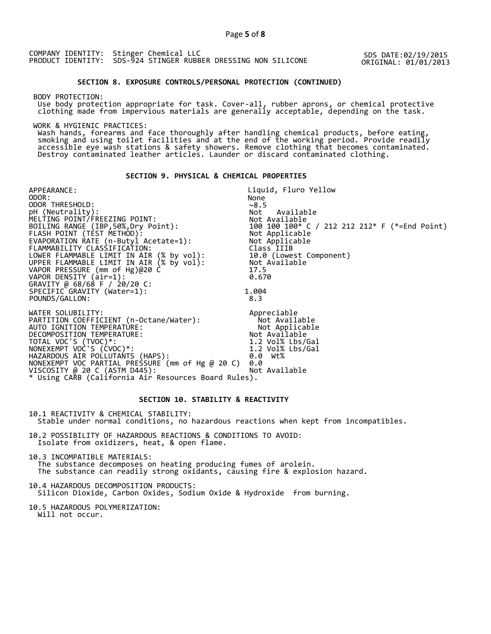SDS DATE:02/19/2015 ORIGINAL: 01/01/2013

## **SECTION 8. EXPOSURE CONTROLS/PERSONAL PROTECTION (CONTINUED)**

BODY PROTECTION:

 Use body protection appropriate for task. Cover-all, rubber aprons, or chemical protective clothing made from impervious materials are generally acceptable, depending on the task.

WORK & HYGIENIC PRACTICES:

 Wash hands, forearms and face thoroughly after handling chemical products, before eating, smoking and using toilet facilities and at the end of the working period. Provide readily accessible eye wash stations & safety showers. Remove clothing that becomes contaminated. Destroy contaminated leather articles. Launder or discard contaminated clothing.

## **SECTION 9. PHYSICAL & CHEMICAL PROPERTIES**

APPEARANCE: ODOR: Liquid, Fluro Yellow None ODOR THRESHOLD: pH (Neutrality): MELTING POINT/FREEZING POINT: ~8.5<br>Not Available Not Available 100 100 100\* C / 212 212 212\* F (\*=End Point)<br>Not Applicable FLASH POINT (TEST METHOD): Not Applicable EVAPORATION RATE (n-Butyl Acetate=1): Not Applicable FLAMMABILITY CLASSIFICATION: Class IIIB LOWER FLAMMABLE LIMIT IN AIR (% by vol): 10.0 (Lowest Component) UPPER FLAMMABLE LIMIT IN AIR (% by vol): Not Available VAPOR PRESSURE (mm of Hg)@20 C 17.5  $V$ APOR DENSITY  $air=1$ :  $0.670$ GRAVITY @ 68/68 F / 20/20 C: SPECIFIC GRAVITY (Water=1): POUNDS/GALLON: 1.004 8.3 WATER SOLUBILITY: PARTITION COEFFICIENT (n-Octane/Water): AUTO IGNITION TEMPERATURE: DECOMPOSITION TEMPERATURE: TOTAL VOC'S (TVOC)\*: NONEXEMPT VOC'S (CVOC)\*: HAZARDOUS AIR POLLUTANTS (HAPS): Appreciable Not Available Not Applicable Not Available 1.2 Vol% Lbs/Gal 1.2 Vol% Lbs/Gal 0.0 Wt% NONEXEMPT VOC PARTIAL PRESSURE (mm of Hg @ 20 C) 0.0 VISCOSITY @ 20 C (ASTM D445): Not Available \* Using CARB (California Air Resources Board Rules).

### **SECTION 10. STABILITY & REACTIVITY**

10.1 REACTIVITY & CHEMICAL STABILITY: Stable under normal conditions, no hazardous reactions when kept from incompatibles.

10.2 POSSIBILITY OF HAZARDOUS REACTIONS & CONDITIONS TO AVOID: Isolate from oxidizers, heat, & open flame.

10.3 INCOMPATIBLE MATERIALS: The substance decomposes on heating producing fumes of arolein. The substance can readily strong oxidants, causing fire & explosion hazard.

10.4 HAZARDOUS DECOMPOSITION PRODUCTS: Silicon Dioxide, Carbon Oxides, Sodium Oxide & Hydroxide from burning.

10.5 HAZARDOUS POLYMERIZATION: Will not occur.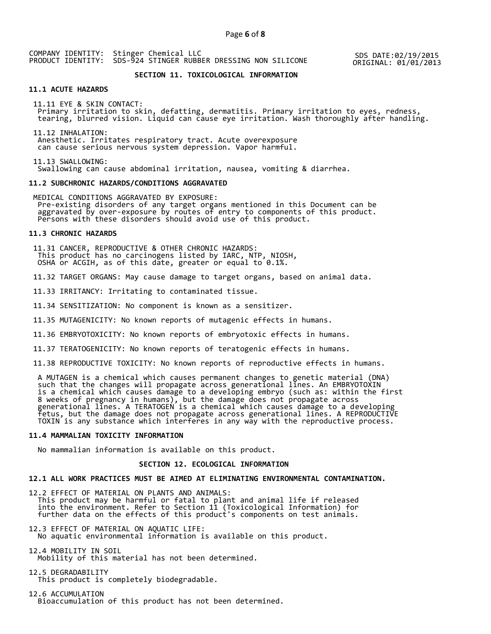SDS DATE:02/19/2015 ORIGINAL: 01/01/2013

# **SECTION 11. TOXICOLOGICAL INFORMATION**

#### **11.1 ACUTE HAZARDS**

 11.11 EYE & SKIN CONTACT: Primary irritation to skin, defatting, dermatitis. Primary irritation to eyes, redness, tearing, blurred vision. Liquid can cause eye irritation. Wash thoroughly after handling.

 11.12 INHALATION: Anesthetic. Irritates respiratory tract. Acute overexposure can cause serious nervous system depression. Vapor harmful.

 11.13 SWALLOWING: Swallowing can cause abdominal irritation, nausea, vomiting & diarrhea.

#### **11.2 SUBCHRONIC HAZARDS/CONDITIONS AGGRAVATED**

 MEDICAL CONDITIONS AGGRAVATED BY EXPOSURE: Pre-existing disorders of any target organs mentioned in this Document can be aggravated by over-exposure by routes of entry to components of this product. Persons with these disorders should avoid use of this product.

#### **11.3 CHRONIC HAZARDS**

 11.31 CANCER, REPRODUCTIVE & OTHER CHRONIC HAZARDS: This product has no carcinogens listed by IARC, NTP, NIOSH, OSHA or ACGIH, as of this date, greater or equal to 0.1%.

11.32 TARGET ORGANS: May cause damage to target organs, based on animal data.

11.33 IRRITANCY: Irritating to contaminated tissue.

11.34 SENSITIZATION: No component is known as a sensitizer.

11.35 MUTAGENICITY: No known reports of mutagenic effects in humans.

11.36 EMBRYOTOXICITY: No known reports of embryotoxic effects in humans.

11.37 TERATOGENICITY: No known reports of teratogenic effects in humans.

11.38 REPRODUCTIVE TOXICITY: No known reports of reproductive effects in humans.

 A MUTAGEN is a chemical which causes permanent changes to genetic material (DNA) such that the changes will propagate across generational lines. An EMBRYOTOXIN is a chemical which causes damage to a developing embryo (such as: within the first 8 weeks of pregnancy in humans), but the damage does not propagate across generational lines. A TERATOGEN is a chemical which causes damage to a developing fetus, but the damage does not propagate across generational lines. A REPRODUCTIVE TOXIN is any substance which interferes in any way with the reproductive process.

#### **11.4 MAMMALIAN TOXICITY INFORMATION**

No mammalian information is available on this product.

#### **SECTION 12. ECOLOGICAL INFORMATION**

#### **12.1 ALL WORK PRACTICES MUST BE AIMED AT ELIMINATING ENVIRONMENTAL CONTAMINATION.**

12.2 EFFECT OF MATERIAL ON PLANTS AND ANIMALS: This product may be harmful or fatal to plant and animal life if released into the environment. Refer to Section 11 (Toxicological Information) for further data on the effects of this product's components on test animals.

12.3 EFFECT OF MATERIAL ON AQUATIC LIFE: No aquatic environmental information is available on this product.

12.4 MOBILITY IN SOIL Mobility of this material has not been determined.

12.5 DEGRADABILITY This product is completely biodegradable.

12.6 ACCUMULATION Bioaccumulation of this product has not been determined.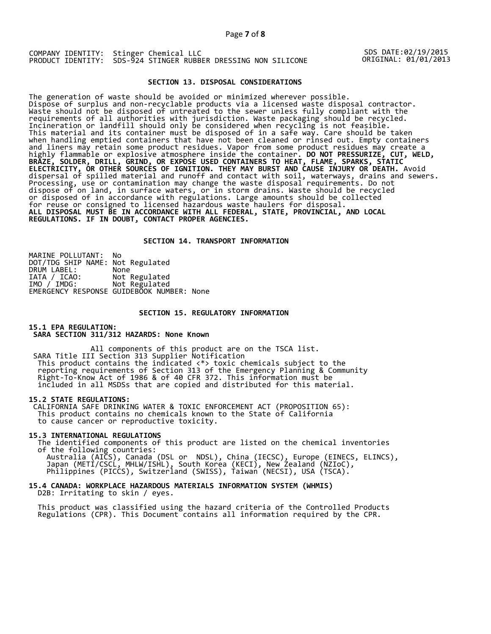SDS DATE:02/19/2015 ORIGINAL: 01/01/2013

## **SECTION 13. DISPOSAL CONSIDERATIONS**

The generation of waste should be avoided or minimized wherever possible. Dispose of surplus and non-recyclable products via a licensed waste disposal contractor. Waste should not be disposed of untreated to the sewer unless fully compliant with the requirements of all authorities with jurisdiction. Waste packaging should be recycled. Incineration or landfill should only be considered when recycling is not feasible. This material and its container must be disposed of in a safe way. Care should be taken when handling emptied containers that have not been cleaned or rinsed out. Empty containers and liners may retain some product residues. Vapor from some product residues may create a highly flammable or explosive atmosphere inside the container. **DO NOT PRESSURIZE, CUT, WELD, BRAZE, SOLDER, DRILL, GRIND, OR EXPOSE USED CONTAINERS TO HEAT, FLAME, SPARKS, STATIC ELECTRICITY, OR OTHER SOURCES OF IGNITION. THEY MAY BURST AND CAUSE INJURY OR DEATH.** Avoid dispersal of spilled material and runoff and contact with soil, waterways, drains and sewers. Processing, use or contamination may change the waste disposal requirements. Do not dispose of on land, in surface waters, or in storm drains. Waste should be recycled or disposed of in accordance with regulations. Large amounts should be collected for reuse or consigned to licensed hazardous waste haulers for disposal. **ALL DISPOSAL MUST BE IN ACCORDANCE WITH ALL FEDERAL, STATE, PROVINCIAL, AND LOCAL REGULATIONS. IF IN DOUBT, CONTACT PROPER AGENCIES.** 

#### **SECTION 14. TRANSPORT INFORMATION**

MARINE POLLUTANT: No DOT/TDG SHIP NAME: Not Regulated DRUM LABEL:<br>IATA / ICAO:<br>IMO / IMDG: Not Regulated Not Regulated EMERGENCY RESPONSE GUIDEBOOK NUMBER: None

#### **SECTION 15. REGULATORY INFORMATION**

#### **15.1 EPA REGULATION: SARA SECTION 311/312 HAZARDS: None Known**

All components of this product are on the TSCA list. SARA Title III Section 313 Supplier Notification This product contains the indicated <\*> toxic chemicals subject to the reporting requirements of Section 313 of the Emergency Planning & Community Right-To-Know Act of 1986 & of 40 CFR 372. This information must be included in all MSDSs that are copied and distributed for this material.

### **15.2 STATE REGULATIONS:**

 CALIFORNIA SAFE DRINKING WATER & TOXIC ENFORCEMENT ACT (PROPOSITION 65): This product contains no chemicals known to the State of California to cause cancer or reproductive toxicity.

### **15.3 INTERNATIONAL REGULATIONS**

 The identified components of this product are listed on the chemical inventories of the following countries:

 Australia (AICS), Canada (DSL or NDSL), China (IECSC), Europe (EINECS, ELINCS), Japan (METI/CSCL, MHLW/ISHL), South Korea (KECI), New Zealand (NZIoC), Philippines (PICCS), Switzerland (SWISS), Taiwan (NECSI), USA (TSCA).

## **15.4 CANADA: WORKPLACE HAZARDOUS MATERIALS INFORMATION SYSTEM (WHMIS)**  D2B: Irritating to skin / eyes.

 This product was classified using the hazard criteria of the Controlled Products Regulations (CPR). This Document contains all information required by the CPR.